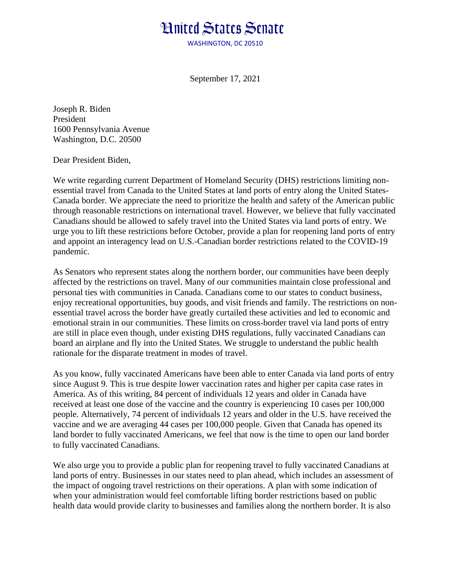## **Hnited States Senate**

WASHINGTON, DC 20510

September 17, 2021

Joseph R. Biden President 1600 Pennsylvania Avenue Washington, D.C. 20500

Dear President Biden,

We write regarding current Department of Homeland Security (DHS) restrictions limiting nonessential travel from Canada to the United States at land ports of entry along the United States-Canada border. We appreciate the need to prioritize the health and safety of the American public through reasonable restrictions on international travel. However, we believe that fully vaccinated Canadians should be allowed to safely travel into the United States via land ports of entry. We urge you to lift these restrictions before October, provide a plan for reopening land ports of entry and appoint an interagency lead on U.S.-Canadian border restrictions related to the COVID-19 pandemic.

As Senators who represent states along the northern border, our communities have been deeply affected by the restrictions on travel. Many of our communities maintain close professional and personal ties with communities in Canada. Canadians come to our states to conduct business, enjoy recreational opportunities, buy goods, and visit friends and family. The restrictions on nonessential travel across the border have greatly curtailed these activities and led to economic and emotional strain in our communities. These limits on cross-border travel via land ports of entry are still in place even though, under existing DHS regulations, fully vaccinated Canadians can board an airplane and fly into the United States. We struggle to understand the public health rationale for the disparate treatment in modes of travel.

As you know, fully vaccinated Americans have been able to enter Canada via land ports of entry since August 9. This is true despite lower vaccination rates and higher per capita case rates in America. As of this writing, 84 percent of individuals 12 years and older in Canada have received at least one dose of the vaccine and the country is experiencing 10 cases per 100,000 people. Alternatively, 74 percent of individuals 12 years and older in the U.S. have received the vaccine and we are averaging 44 cases per 100,000 people. Given that Canada has opened its land border to fully vaccinated Americans, we feel that now is the time to open our land border to fully vaccinated Canadians.

We also urge you to provide a public plan for reopening travel to fully vaccinated Canadians at land ports of entry. Businesses in our states need to plan ahead, which includes an assessment of the impact of ongoing travel restrictions on their operations. A plan with some indication of when your administration would feel comfortable lifting border restrictions based on public health data would provide clarity to businesses and families along the northern border. It is also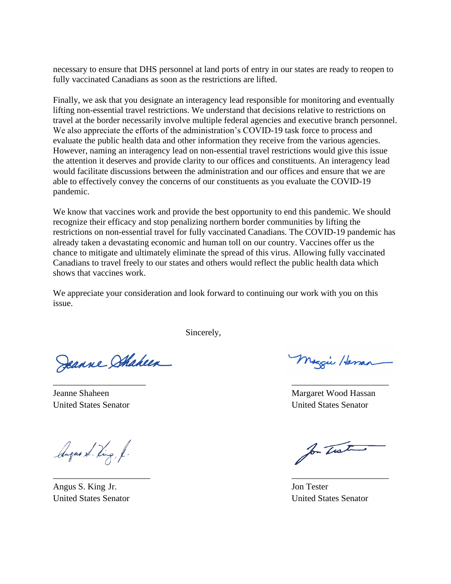necessary to ensure that DHS personnel at land ports of entry in our states are ready to reopen to fully vaccinated Canadians as soon as the restrictions are lifted.

Finally, we ask that you designate an interagency lead responsible for monitoring and eventually lifting non-essential travel restrictions. We understand that decisions relative to restrictions on travel at the border necessarily involve multiple federal agencies and executive branch personnel. We also appreciate the efforts of the administration's COVID-19 task force to process and evaluate the public health data and other information they receive from the various agencies. However, naming an interagency lead on non-essential travel restrictions would give this issue the attention it deserves and provide clarity to our offices and constituents. An interagency lead would facilitate discussions between the administration and our offices and ensure that we are able to effectively convey the concerns of our constituents as you evaluate the COVID-19 pandemic.

We know that vaccines work and provide the best opportunity to end this pandemic. We should recognize their efficacy and stop penalizing northern border communities by lifting the restrictions on non-essential travel for fully vaccinated Canadians. The COVID-19 pandemic has already taken a devastating economic and human toll on our country. Vaccines offer us the chance to mitigate and ultimately eliminate the spread of this virus. Allowing fully vaccinated Canadians to travel freely to our states and others would reflect the public health data which shows that vaccines work.

We appreciate your consideration and look forward to continuing our work with you on this issue.

 $\overline{\phantom{a}}$  , and the contract of the contract of the contract of the contract of the contract of the contract of the contract of the contract of the contract of the contract of the contract of the contract of the contrac

 $\overline{\phantom{a}}$  , and the contract of the contract of the contract of the contract of the contract of the contract of the contract of the contract of the contract of the contract of the contract of the contract of the contrac

Sincerely,

Jeanne Stakeen

August Ding, f.

Angus S. King Jr. Jon Tester

Maggie Haman

Jeanne Shaheen Margaret Wood Hassan United States Senator United States Senator

for That

United States Senator United States Senator